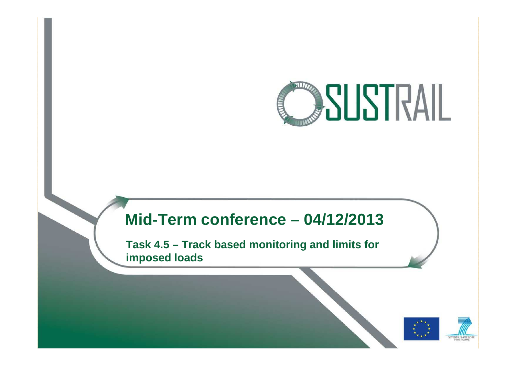

### **Mid-Term conference – 04/12/2013**

**Task 4.5 – Track based monitoring and limits for imposed loads**



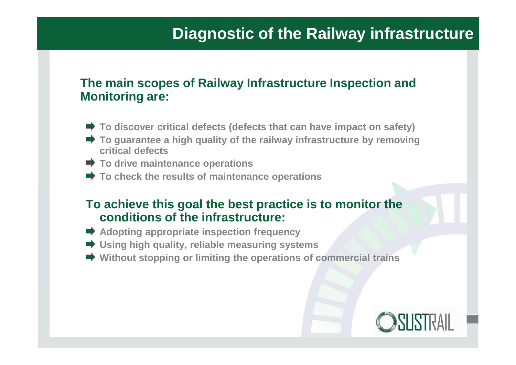### **The main scopes of Railway Infrastructure Inspection and Monitoring are:**

- **To discover critical defects (defects that can have impact on safety)**
- **To guarantee a high quality of the railway infrastructure by removing critical defects**
- **To drive maintenance operations**
- **To check the results of maintenance operations**

### **To achieve this goal the best practice is to monitor the conditions of the infrastructure:**

- **★ Adopting appropriate inspection frequency**
- **Using high quality, reliable measuring systems**
- **Without stopping or limiting the operations of commercial trains**

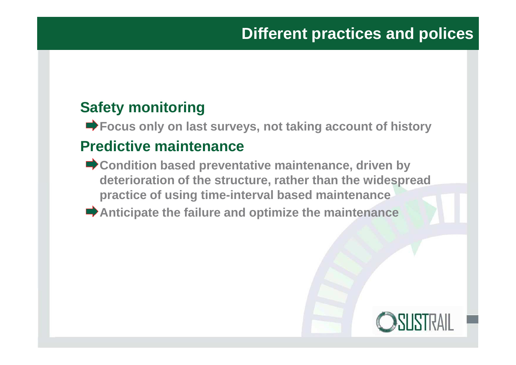## **Safety monitoring**

**■ Focus only on last surveys, not taking account of history** 

### **Predictive maintenance**

- **Condition based preventative maintenance, driven by deterioration of the structure, rather than the widespread practice of using time-interval based maintenance**
- **Anticipate the failure and optimize the maintenance**

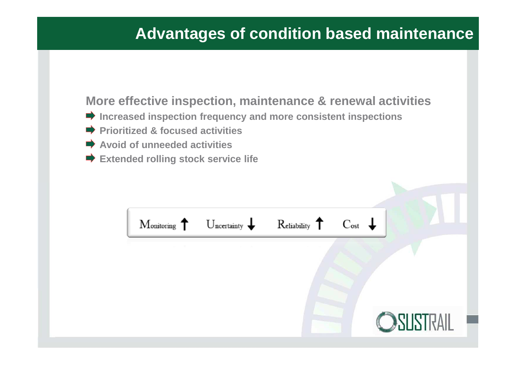## **Advantages of condition based maintenance**

### **More effective inspection, maintenance & renewal activities**

- **Increased inspection frequency and more consistent inspections**
- **Prioritized & focused activities**
- **Avoid of unneeded activities**
- **Extended rolling stock service life**

|  | Monitoring $\uparrow$ Uncertainty $\downarrow$ Reliability $\uparrow$ Cost $\downarrow$ |
|--|-----------------------------------------------------------------------------------------|
|  |                                                                                         |
|  |                                                                                         |
|  |                                                                                         |
|  | OSUSTRAIL                                                                               |
|  |                                                                                         |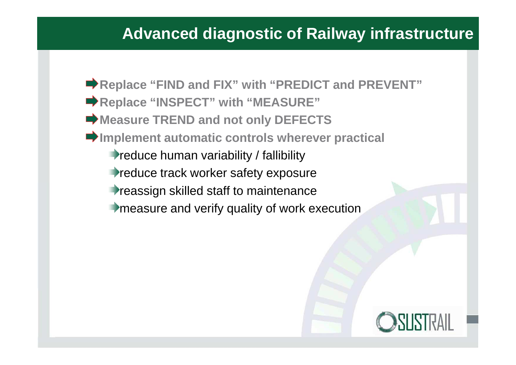## **Advanced diagnostic of Railway infrastructure**

**★ Replace "FIND and FIX" with "PREDICT and PREVENT" ■ Replace "INSPECT" with "MEASURE"**  $\rightarrow$  **Measure TREND and not only DEFECTS Implement automatic controls wherever practical Preduce human variability / fallibility Preduce track worker safety exposure Treassign skilled staff to maintenance** measure and verify quality of work execution

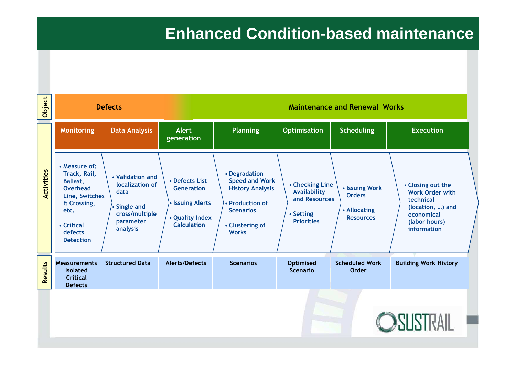## **Enhanced Condition-based maintenance**

| Object     | <b>Defects</b>                                                                                                                                            |                                                                                                        | <b>Maintenance and Renewal Works</b>                                                             |                                                                                                                                             |                                                                                           |                                                                     |                                                                                                                            |  |
|------------|-----------------------------------------------------------------------------------------------------------------------------------------------------------|--------------------------------------------------------------------------------------------------------|--------------------------------------------------------------------------------------------------|---------------------------------------------------------------------------------------------------------------------------------------------|-------------------------------------------------------------------------------------------|---------------------------------------------------------------------|----------------------------------------------------------------------------------------------------------------------------|--|
|            | <b>Monitoring</b>                                                                                                                                         | <b>Data Analysis</b>                                                                                   | <b>Alert</b><br>generation                                                                       | <b>Planning</b>                                                                                                                             | <b>Optimisation</b>                                                                       | <b>Scheduling</b>                                                   | <b>Execution</b>                                                                                                           |  |
| Activities | • Measure of:<br>Track, Rail,<br><b>Ballast,</b><br><b>Overhead</b><br>Line, Switches<br>& Crossing,<br>etc.<br>• Critical<br>defects<br><b>Detection</b> | • Validation and<br>localization of<br>data<br>• Single and<br>cross/multiple<br>parameter<br>analysis | • Defects List<br><b>Generation</b><br>• Issuing Alerts<br>• Quality Index<br><b>Calculation</b> | • Degradation<br><b>Speed and Work</b><br><b>History Analysis</b><br>• Production of<br><b>Scenarios</b><br>• Clustering of<br><b>Works</b> | • Checking Line<br><b>Availability</b><br>and Resources<br>• Setting<br><b>Priorities</b> | • Issuing Work<br><b>Orders</b><br>• Allocating<br><b>Resources</b> | • Closing out the<br><b>Work Order with</b><br>technical<br>(location, ) and<br>economical<br>(labor hours)<br>information |  |
| Results    | <b>Measurements</b><br><b>Isolated</b><br><b>Critical</b><br><b>Defects</b>                                                                               | <b>Structured Data</b>                                                                                 | <b>Alerts/Defects</b>                                                                            | <b>Scenarios</b>                                                                                                                            | <b>Optimised</b><br><b>Scenario</b>                                                       | <b>Scheduled Work</b><br>Order                                      | <b>Building Work History</b>                                                                                               |  |
|            |                                                                                                                                                           |                                                                                                        |                                                                                                  |                                                                                                                                             |                                                                                           |                                                                     | <b>OSUSTRAIL</b>                                                                                                           |  |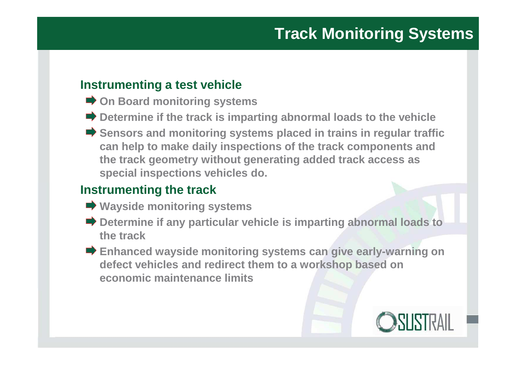### **Instrumenting a test vehicle**

- **On Board monitoring systems**
- **■** Determine if the track is imparting abnormal loads to the vehicle
- **Sensors and monitoring systems placed in trains in regular traffic can help to make daily inspections of the track components and the track geometry without generating added track access as special inspections vehicles do.**

### **Instrumenting the track**

- **Wayside monitoring systems**
- **Determine if any particular vehicle is imparting abnormal loads to the track**
- **Enhanced wayside monitoring systems can give early-warning on defect vehicles and redirect them to a workshop based on economic maintenance limits**

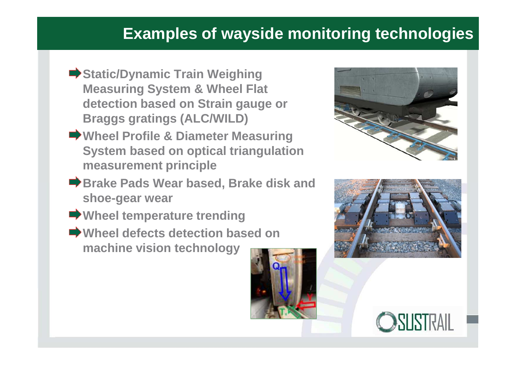## **Examples of wayside monitoring technologies**

- **■Static/Dynamic Train Weighing Measuring System & Wheel Flat detection based on Strain gauge or Braggs gratings (ALC/WILD)**
- **Wheel Profile & Diameter Measuring System based on optical triangulation measurement principle**
- **Brake Pads Wear based, Brake disk and shoe-gear wear**
- **Wheel temperature trending**
- **Wheel defects detection based on machine vision technology**







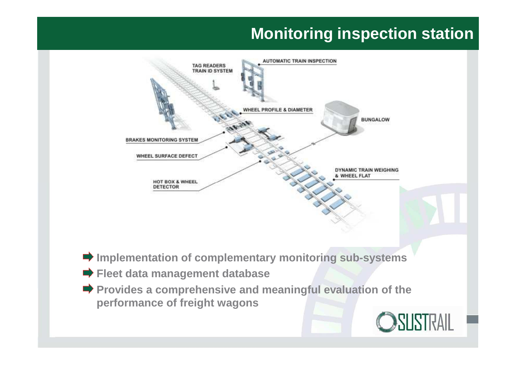## **Monitoring inspection station**



- **Implementation of complementary monitoring sub-systems**
- **Fleet data management database**
- **Provides a comprehensive and meaningful evaluation of the performance of freight wagons**

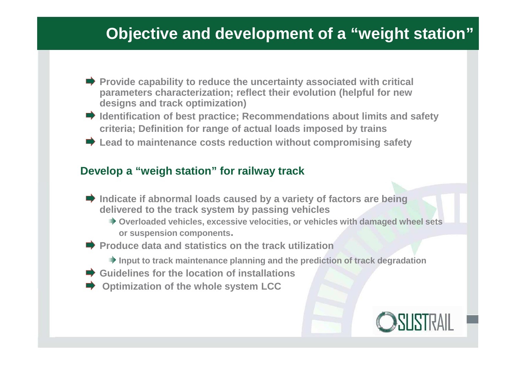## **Objective and development of a "weight station"**

- **Provide capability to reduce the uncertainty associated with critical parameters characterization; reflect their evolution (helpful for new designs and track optimization)**
- **Identification of best practice; Recommendations about limits and safety criteria; Definition for range of actual loads imposed by trains**
- **Lead to maintenance costs reduction without compromising safety**

#### **Develop a "weigh station" for railway track**

- **Indicate if abnormal loads caused by a variety of factors are being delivered to the track system by passing vehicles**
	- **Overloaded vehicles, excessive velocities, or vehicles with damaged wheel sets or suspension components.**
- **Produce data and statistics on the track utilization** 
	- **Input to track maintenance planning and the prediction of track degradation**
- **Guidelines for the location of installations**
- **Optimization of the whole system LCC**

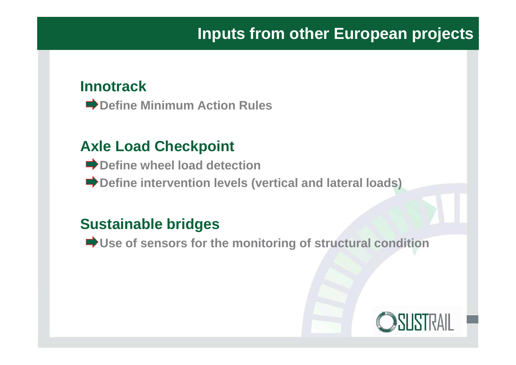### **Innotrack**

**■ Define Minimum Action Rules** 

## **Axle Load Checkpoint**

- **■** Define wheel load detection
- **■** Define intervention levels (vertical and lateral loads)

### **Sustainable bridges**

**■ Use of sensors for the monitoring of structural condition** 

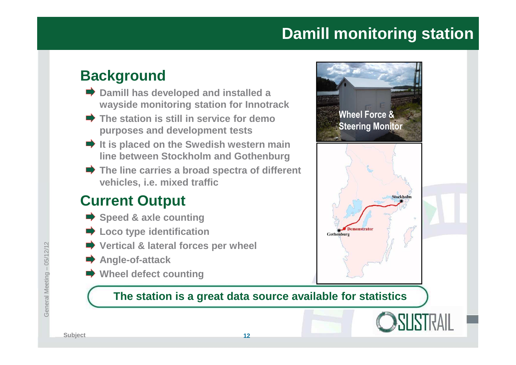## **Damill monitoring station**

**Wheel Force &**

Demonstrator

**Gothenburg** 

**Steering Monitor**

### **Background**

- **■** Damill has developed and installed a **wayside monitoring station for Innotrack**
- **The station is still in service for demo purposes and development tests**
- **If is placed on the Swedish western main line between Stockholm and Gothenburg**
- **■** The line carries a broad spectra of different **vehicles, i.e. mixed traffic**

### **Current Output**

- **Speed & axle counting**
- $\rightarrow$  **Loco type identification**
- **Vertical & lateral forces per wheel**
- **Angle-of-attack**
- **Wheel defect counting**

### **The station is a great data source available for statistics**



Stockholm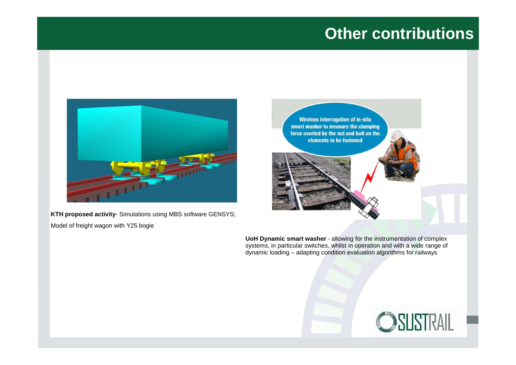## **Other contributions**



**KTH proposed activity**- Simulations using MBS software GENSYS; Model of freight wagon with Y25 bogie



**UoH Dynamic smart washer** - allowing for the instrumentation of complex systems, in particular switches, whilst in operation and with a wide range of dynamic loading – adapting condition evaluation algorithms for railways

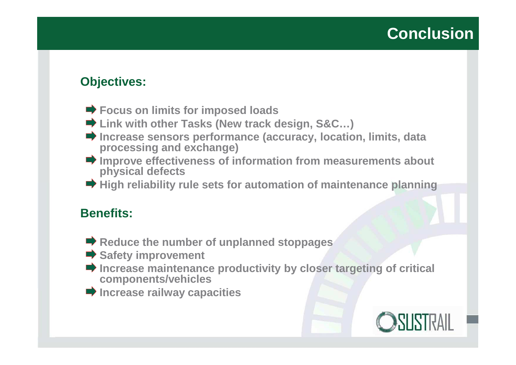### **Objectives:**

- **Focus on limits for imposed loads**
- **Link with other Tasks (New track design, S&C…)**
- **Increase sensors performance (accuracy, location, limits, data processing and exchange)**
- **Improve effectiveness of information from measurements about physical defects**
- **High reliability rule sets for automation of maintenance planning**

### **Benefits:**

- **■** Reduce the number of unplanned stoppages
- **Safety improvement**
- **Increase maintenance productivity by closer targeting of critical components/vehicles**
- $\rightarrow$  **Increase railway capacities**